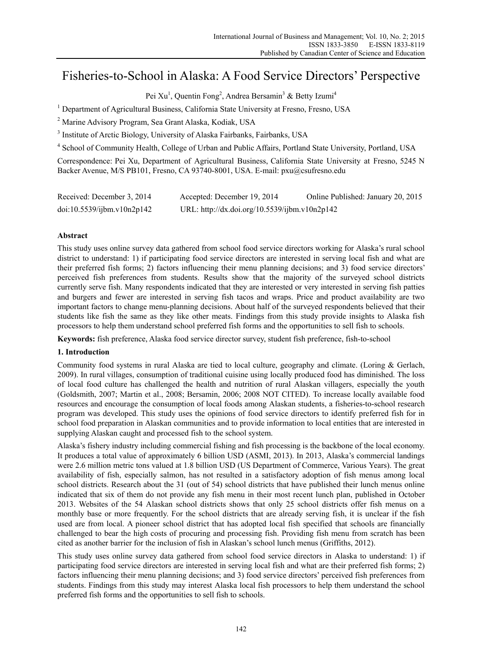# Fisheries-to-School in Alaska: A Food Service Directors' Perspective

Pei Xu<sup>1</sup>, Quentin Fong<sup>2</sup>, Andrea Bersamin<sup>3</sup> & Betty Izumi<sup>4</sup>

<sup>1</sup> Department of Agricultural Business, California State University at Fresno, Fresno, USA

<sup>2</sup> Marine Advisory Program, Sea Grant Alaska, Kodiak, USA

<sup>3</sup> Institute of Arctic Biology, University of Alaska Fairbanks, Fairbanks, USA

<sup>4</sup> School of Community Health, College of Urban and Public Affairs, Portland State University, Portland, USA

Correspondence: Pei Xu, Department of Agricultural Business, California State University at Fresno, 5245 N Backer Avenue, M/S PB101, Fresno, CA 93740-8001, USA. E-mail: pxu@csufresno.edu

| Received: December 3, 2014 | Accepted: December 19, 2014                   | Online Published: January 20, 2015 |
|----------------------------|-----------------------------------------------|------------------------------------|
| doi:10.5539/ijbm.v10n2p142 | URL: http://dx.doi.org/10.5539/ijbm.v10n2p142 |                                    |

# **Abstract**

This study uses online survey data gathered from school food service directors working for Alaska's rural school district to understand: 1) if participating food service directors are interested in serving local fish and what are their preferred fish forms; 2) factors influencing their menu planning decisions; and 3) food service directors' perceived fish preferences from students. Results show that the majority of the surveyed school districts currently serve fish. Many respondents indicated that they are interested or very interested in serving fish patties and burgers and fewer are interested in serving fish tacos and wraps. Price and product availability are two important factors to change menu-planning decisions. About half of the surveyed respondents believed that their students like fish the same as they like other meats. Findings from this study provide insights to Alaska fish processors to help them understand school preferred fish forms and the opportunities to sell fish to schools.

**Keywords:** fish preference, Alaska food service director survey, student fish preference, fish-to-school

# **1. Introduction**

Community food systems in rural Alaska are tied to local culture, geography and climate. (Loring & Gerlach, 2009). In rural villages, consumption of traditional cuisine using locally produced food has diminished. The loss of local food culture has challenged the health and nutrition of rural Alaskan villagers, especially the youth (Goldsmith, 2007; Martin et al., 2008; Bersamin, 2006; 2008 NOT CITED). To increase locally available food resources and encourage the consumption of local foods among Alaskan students, a fisheries-to-school research program was developed. This study uses the opinions of food service directors to identify preferred fish for in school food preparation in Alaskan communities and to provide information to local entities that are interested in supplying Alaskan caught and processed fish to the school system.

Alaska's fishery industry including commercial fishing and fish processing is the backbone of the local economy. It produces a total value of approximately 6 billion USD (ASMI, 2013). In 2013, Alaska's commercial landings were 2.6 million metric tons valued at 1.8 billion USD (US Department of Commerce, Various Years). The great availability of fish, especially salmon, has not resulted in a satisfactory adoption of fish menus among local school districts. Research about the 31 (out of 54) school districts that have published their lunch menus online indicated that six of them do not provide any fish menu in their most recent lunch plan, published in October 2013. Websites of the 54 Alaskan school districts shows that only 25 school districts offer fish menus on a monthly base or more frequently. For the school districts that are already serving fish, it is unclear if the fish used are from local. A pioneer school district that has adopted local fish specified that schools are financially challenged to bear the high costs of procuring and processing fish. Providing fish menu from scratch has been cited as another barrier for the inclusion of fish in Alaskan's school lunch menus (Griffiths, 2012).

This study uses online survey data gathered from school food service directors in Alaska to understand: 1) if participating food service directors are interested in serving local fish and what are their preferred fish forms; 2) factors influencing their menu planning decisions; and 3) food service directors' perceived fish preferences from students. Findings from this study may interest Alaska local fish processors to help them understand the school preferred fish forms and the opportunities to sell fish to schools.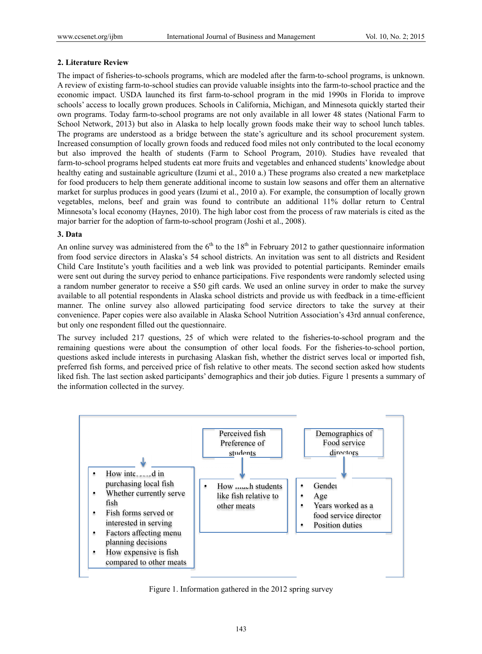# **2. Literature Review**

The impact of fisheries-to-schools programs, which are modeled after the farm-to-school programs, is unknown. A review of existing farm-to-school studies can provide valuable insights into the farm-to-school practice and the economic impact. USDA launched its first farm-to-school program in the mid 1990s in Florida to improve schools' access to locally grown produces. Schools in California, Michigan, and Minnesota quickly started their own programs. Today farm-to-school programs are not only available in all lower 48 states (National Farm to School Network, 2013) but also in Alaska to help locally grown foods make their way to school lunch tables. The programs are understood as a bridge between the state's agriculture and its school procurement system. Increased consumption of locally grown foods and reduced food miles not only contributed to the local economy but also improved the health of students (Farm to School Program, 2010). Studies have revealed that farm-to-school programs helped students eat more fruits and vegetables and enhanced students' knowledge about healthy eating and sustainable agriculture (Izumi et al., 2010 a.) These programs also created a new marketplace for food producers to help them generate additional income to sustain low seasons and offer them an alternative market for surplus produces in good years (Izumi et al., 2010 a). For example, the consumption of locally grown vegetables, melons, beef and grain was found to contribute an additional 11% dollar return to Central Minnesota's local economy (Haynes, 2010). The high labor cost from the process of raw materials is cited as the major barrier for the adoption of farm-to-school program (Joshi et al., 2008).

# **3. Data**

An online survey was administered from the  $6<sup>th</sup>$  to the 18<sup>th</sup> in February 2012 to gather questionnaire information from food service directors in Alaska's 54 school districts. An invitation was sent to all districts and Resident Child Care Institute's youth facilities and a web link was provided to potential participants. Reminder emails were sent out during the survey period to enhance participations. Five respondents were randomly selected using a random number generator to receive a \$50 gift cards. We used an online survey in order to make the survey available to all potential respondents in Alaska school districts and provide us with feedback in a time-efficient manner. The online survey also allowed participating food service directors to take the survey at their convenience. Paper copies were also available in Alaska School Nutrition Association's 43rd annual conference, but only one respondent filled out the questionnaire.

The survey included 217 questions, 25 of which were related to the fisheries-to-school program and the remaining questions were about the consumption of other local foods. For the fisheries-to-school portion, questions asked include interests in purchasing Alaskan fish, whether the district serves local or imported fish, preferred fish forms, and perceived price of fish relative to other meats. The second section asked how students liked fish. The last section asked participants' demographics and their job duties. Figure 1 presents a summary of the information collected in the survey.



Figure 1. Information gathered in the 2012 spring survey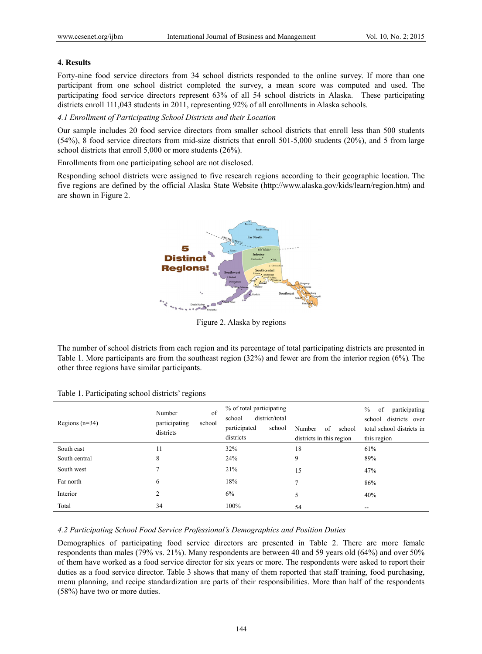## **4. Results**

Forty-nine food service directors from 34 school districts responded to the online survey. If more than one participant from one school district completed the survey, a mean score was computed and used. The participating food service directors represent 63% of all 54 school districts in Alaska. These participating districts enroll 111,043 students in 2011, representing 92% of all enrollments in Alaska schools.

## 4.1 Enrollment of Participating School Districts and their Location

Our sample includes 20 food service directors from smaller school districts that enroll less than 500 students  $(54%)$ , 8 food service directors from mid-size districts that enroll  $501-5,000$  students  $(20%)$ , and 5 from large school districts that enroll  $5,000$  or more students  $(26\%)$ .

Enrollments from one participating school are not disclosed.

Responding school districts were assigned to five research regions according to their geographic location. The five regions are defined by the official Alaska State Website (http://www.alaska.gov/kids/learn/region.htm) and are shown in Figure 2.



Figure 2. Alaska by regions

The number of school districts from each region and its percentage of total participating districts are presented in Table 1. More participants are from the southeast region  $(32%)$  and fewer are from the interior region  $(6%)$ . The other three regions have similar participants.

| Regions $(n=34)$ | of<br>Number<br>participating<br>school<br>districts | % of total participating<br>district/total<br>school<br>participated<br>school<br>districts | Number<br>of<br>school<br>districts in this region | $\%$<br>of<br>participating<br>districts over<br>school<br>total school districts in<br>this region |
|------------------|------------------------------------------------------|---------------------------------------------------------------------------------------------|----------------------------------------------------|-----------------------------------------------------------------------------------------------------|
| South east       | 11                                                   | 32%                                                                                         | 18                                                 | 61%                                                                                                 |
| South central    | 8                                                    | 24%                                                                                         | 9                                                  | 89%                                                                                                 |
| South west       |                                                      | 21%                                                                                         | 15                                                 | 47%                                                                                                 |
| Far north        | 6                                                    | 18%                                                                                         | $\overline{7}$                                     | 86%                                                                                                 |
| Interior         | 2                                                    | 6%                                                                                          | 5                                                  | 40%                                                                                                 |
| Total            | 34                                                   | 100%                                                                                        | 54                                                 | --                                                                                                  |

|  |  | Table 1. Participating school districts' regions |  |
|--|--|--------------------------------------------------|--|
|  |  |                                                  |  |

## *4.2 Partici ipating School l Food Service e Professional's 's Demographi ics and Positio on Duties*

Demographics of participating food service directors are presented in Table 2. There are more female respondents than males  $(79\% \text{ vs. } 21\%)$ . Many respondents are between 40 and 59 years old  $(64\%)$  and over 50% of them have worked as a food service director for six years or more. The respondents were asked to report their duties as a food service director. Table 3 shows that many of them reported that staff training, food purchasing, menu planning, and recipe standardization are parts of their responsibilities. More than half of the respondents (58%) have two or more duties.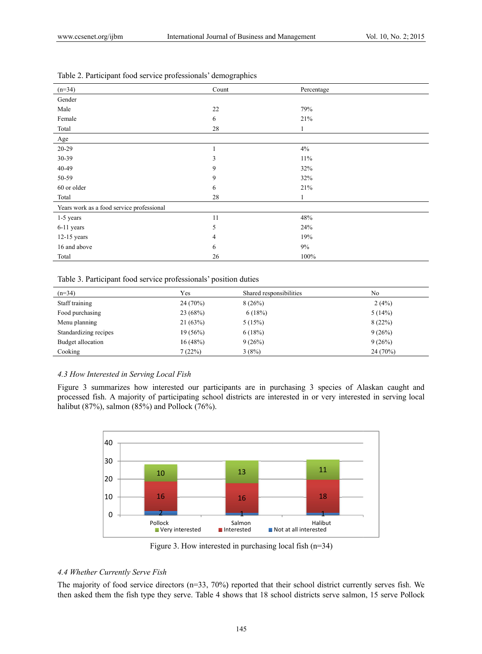| $(n=34)$                                                         | Count | Percentage |
|------------------------------------------------------------------|-------|------------|
| Gender                                                           |       |            |
| Male                                                             | 22    | 79%        |
| Female                                                           | 6     | 21%        |
| Total                                                            | 28    |            |
| Age                                                              |       |            |
| $20 - 29$                                                        |       | 4%         |
| 30-39                                                            | 3     | 11%        |
| 40-49                                                            | 9     | 32%        |
| 50-59                                                            | 9     | 32%        |
| 60 or older                                                      | 6     | 21%        |
| Total                                                            | 28    |            |
| Years work as a food service professional                        |       |            |
| 1-5 years                                                        | 11    | 48%        |
| 6-11 years                                                       | 5     | 24%        |
| $12-15$ years                                                    | 4     | 19%        |
| 16 and above                                                     | 6     | 9%         |
| Total                                                            | 26    | 100%       |
|                                                                  |       |            |
| Table 3. Participant food service professionals' position duties |       |            |

Table 2. Participant food service professionals' demographics

| $(n=34)$              | Yes        | Shared responsibilities | No       |
|-----------------------|------------|-------------------------|----------|
| Staff training        | 24(70%)    | 8(26%)                  | 2(4%)    |
| Food purchasing       | 23(68%)    | 6(18%)                  | 5(14%)   |
| Menu planning         | 21(63%)    | 5(15%)                  | 8(22%)   |
| Standardizing recipes | $19(56\%)$ | 6(18%)                  | 9(26%)   |
| Budget allocation     | 16(48%)    | 9(26%)                  | 9(26%)   |
| Cooking               | (22%)      | 3(8%)                   | 24 (70%) |

#### 4.3 How Interested in Serving Local Fish

Figure 3 summarizes how interested our participants are in purchasing 3 species of Alaskan caught and processed fish. A majority of participating school districts are interested in or very interested in serving local halibut  $(87\%)$ , salmon  $(85\%)$  and Pollock  $(76\%)$ .



Figure 3. How interested in purchasing local fish  $(n=34)$ 

#### *4.4 Whethe er Currently S Serve Fish*

The majority of food service directors (n=33, 70%) reported that their school district currently serves fish. We then asked them the fish type they serve. Table 4 shows that 18 school districts serve salmon, 15 serve Pollock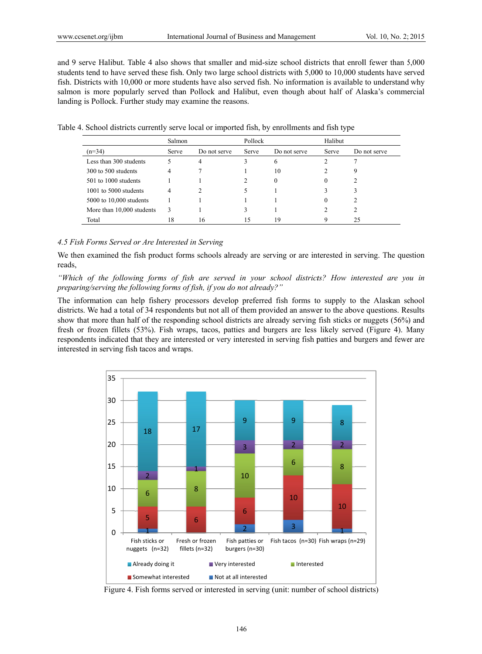and 9 serve Halibut. Table 4 also shows that smaller and mid-size school districts that enroll fewer than 5,000 students tend to have served these fish. Only two large school districts with 5,000 to 10,000 students have served fish. Districts with 10,000 or more students have also served fish. No information is available to understand why salmon is more popularly served than Pollock and Halibut, even though about half of Alaska's commercial landing is Pollock. Further study may examine the reasons.

|  |  |  |  | Table 4. School districts currently serve local or imported fish, by enrollments and fish type |  |
|--|--|--|--|------------------------------------------------------------------------------------------------|--|
|  |  |  |  |                                                                                                |  |

|                           | Salmon |              | Pollock |              | Halibut |              |
|---------------------------|--------|--------------|---------|--------------|---------|--------------|
| $(n=34)$                  | Serve  | Do not serve | Serve   | Do not serve | Serve   | Do not serve |
| Less than 300 students    |        | 4            |         | O            |         |              |
| 300 to 500 students       | 4      |              |         | 10           |         | 9            |
| 501 to 1000 students      |        |              |         | $\theta$     | 0       |              |
| $1001$ to 5000 students   | 4      |              |         |              |         |              |
| 5000 to 10,000 students   |        |              |         |              |         |              |
| More than 10,000 students | 3      |              |         |              |         |              |
| Total                     | 18     | 16           | 5       | 19           |         | 25           |

# 4.5 Fish Forms Served or Are Interested in Serving

We then examined the fish product forms schools already are serving or are interested in serving. The question reads.

"Which of the following forms of fish are served in your school districts? How interested are you in preparing/serving the following forms of fish, if you do not already?"

The information can help fishery processors develop preferred fish forms to supply to the Alaskan school districts. We had a total of 34 respondents but not all of them provided an answer to the above questions. Results show that more than half of the responding school districts are already serving fish sticks or nuggets (56%) and fresh or frozen fillets (53%). Fish wraps, tacos, patties and burgers are less likely served (Figure 4). Many respondents indicated that they are interested or very interested in serving fish patties and burgers and fewer are interested in serving fish tacos and wraps.



Figure 4. Fish forms served or interested in serving (unit: number of school districts)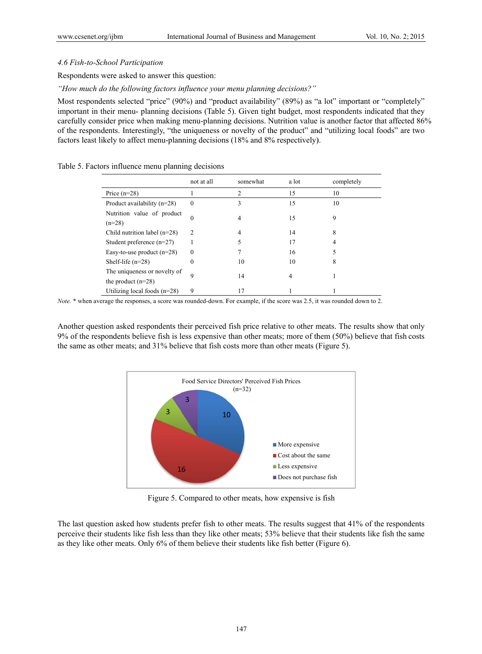#### 4.6 Fish-to-School Participation

Respondents were asked to answer this question:

"How much do the following factors influence your menu planning decisions?"

Most respondents selected "price" (90%) and "product availability" (89%) as "a lot" important or "completely" important in their menu- planning decisions (Table 5). Given tight budget, most respondents indicated that they carefully consider price when making menu-planning decisions. Nutrition value is another factor that affected 86% of the respondents. Interestingly, "the uniqueness or novelty of the product" and "utilizing local foods" are two factors least likely to affect menu-planning decisions (18% and 8% respectively).

### Table 5. Factors influence menu planning decisions

|                                                      | not at all     | somewhat | a lot | completely |
|------------------------------------------------------|----------------|----------|-------|------------|
| Price $(n=28)$                                       |                |          | 15    | 10         |
| Product availability $(n=28)$                        | $\theta$       | 3        | 15    | 10         |
| Nutrition value of product<br>$(n=28)$               | $\theta$       | 4        | 15    | 9          |
| Child nutrition label $(n=28)$                       | $\overline{c}$ | 4        | 14    | 8          |
| Student preference $(n=27)$                          |                |          | 17    | 4          |
| Easy-to-use product $(n=28)$                         | $\theta$       |          | 16    |            |
| Shelf-life $(n=28)$                                  | $\mathbf{0}$   | 10       | 10    | 8          |
| The uniqueness or novelty of<br>the product $(n=28)$ | 9              | 14       | 4     |            |
| Utilizing local foods $(n=28)$                       | 9              | 17       |       |            |

Note. \* when average the responses, a score was rounded-down. For example, if the score was 2.5, it was rounded down to 2.

Another question asked respondents their perceived fish price relative to other meats. The results show that only 9% of the respondents believe fish is less expensive than other meats; more of them (50%) believe that fish costs the same as other meats; and 31% believe that fish costs more than other meats (Figure 5).



Figure 5. Compared to other meats, how expensive is fish

The last question asked how students prefer fish to other meats. The results suggest that 41% of the respondents perceive their students like fish less than they like other meats; 53% believe that their students like fish the same as they like other meats. Only 6% of them believe their students like fish better (Figure 6).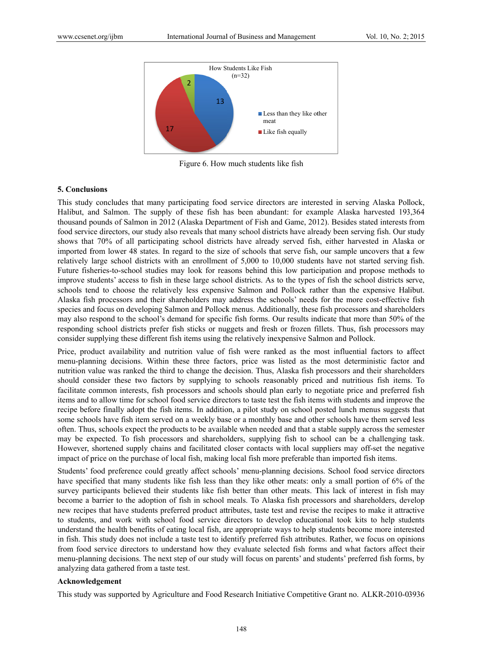

Figure 6. How much students like fish

#### **5. Conclus sions**

This study concludes that many participating food service directors are interested in serving Alaska Pollock, Halibut, and Salmon. The supply of these fish has been abundant: for example Alaska harvested 193,364 thousand pounds of Salmon in 2012 (Alaska Department of Fish and Game, 2012). Besides stated interests from food service directors, our study also reveals that many school districts have already been serving fish. Our study shows that 70% of all participating school districts have already served fish, either harvested in Alaska or imported from lower 48 states. In regard to the size of schools that serve fish, our sample uncovers that a few relatively large school districts with an enrollment of 5,000 to 10,000 students have not started serving fish. Future fisheries-to-school studies may look for reasons behind this low participation and propose methods to improve students' access to fish in these large school districts. As to the types of fish the school districts serve, schools tend to choose the relatively less expensive Salmon and Pollock rather than the expensive Halibut. Alaska fish processors and their shareholders may address the schools' needs for the more cost-effective fish species and focus on developing Salmon and Pollock menus. Additionally, these fish processors and shareholders may also respond to the school's demand for specific fish forms. Our results indicate that more than 50% of the responding school districts prefer fish sticks or nuggets and fresh or frozen fillets. Thus, fish processors may consider supplying these different fish items using the relatively inexpensive Salmon and Pollock.

Price, product availability and nutrition value of fish were ranked as the most influential factors to affect menu-planning decisions. Within these three factors, price was listed as the most deterministic factor and nutrition value was ranked the third to change the decision. Thus, Alaska fish processors and their shareholders should consider these two factors by supplying to schools reasonably priced and nutritious fish items. To facilitate common interests, fish processors and schools should plan early to negotiate price and preferred fish items and to allow time for school food service directors to taste test the fish items with students and improve the recipe before finally adopt the fish items. In addition, a pilot study on school posted lunch menus suggests that some schools have fish item served on a weekly base or a monthly base and other schools have them served less often. Thus, schools expect the products to be available when needed and that a stable supply across the semester may be expected. To fish processors and shareholders, supplying fish to school can be a challenging task. However, shortened supply chains and facilitated closer contacts with local suppliers may off-set the negative impact of price on the purchase of local fish, making local fish more preferable than imported fish items.

Students' food preference could greatly affect schools' menu-planning decisions. School food service directors have specified that many students like fish less than they like other meats: only a small portion of 6% of the survey participants believed their students like fish better than other meats. This lack of interest in fish may become a barrier to the adoption of fish in school meals. To Alaska fish processors and shareholders, develop new recipes that have students preferred product attributes, taste test and revise the recipes to make it attractive to students, and work with school food service directors to develop educational took kits to help students understand the health benefits of eating local fish, are appropriate ways to help students become more interested in fish. This study does not include a taste test to identify preferred fish attributes. Rather, we focus on opinions from food service directors to understand how they evaluate selected fish forms and what factors affect their menu-planning decisions. The next step of our study will focus on parents' and students' preferred fish forms, by analyzing data gathered from a taste test.

### Acknowledgement

This study was supported by Agriculture and Food Research Initiative Competitive Grant no. ALKR-2010-03936